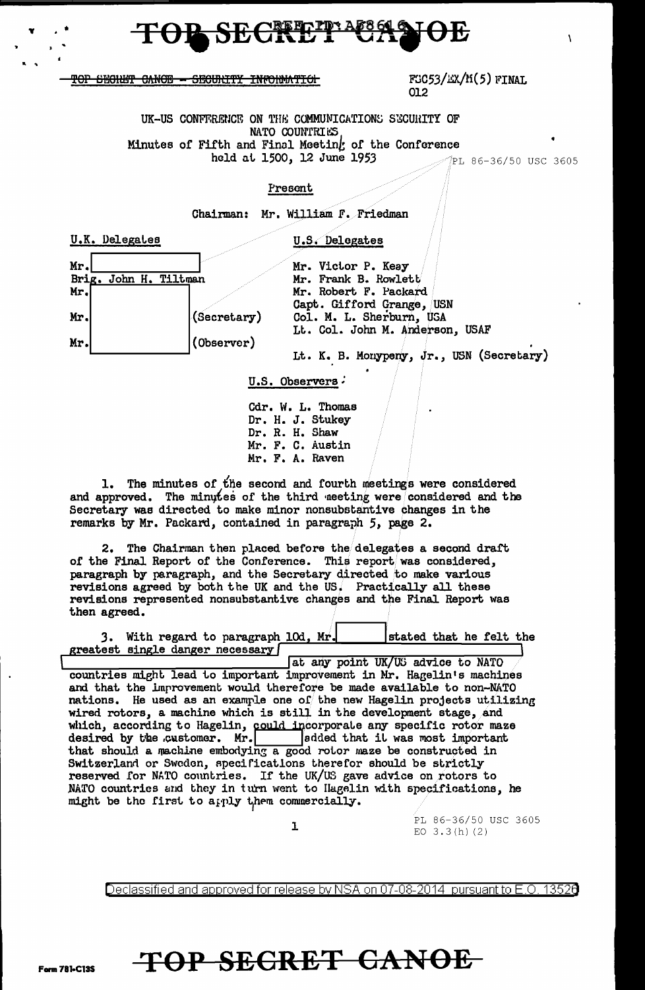

TOP SECHET CANOE - SECURITY INFORMATION

### $FGC53/EX/IG(5)$  FINAL 012

UK-US CONFFRENCE ON THE COMMUNICATIONS SECURITY OF NATO COUNTRIES Minutes of Fifth and Final Meeting of the Conference held at 1500, 12 June 1953

PL 86-36/50 USC 3605

 $\lambda$ 

### Present

Chairman: Mr. William F. Friedman



U.S. Observers

Cdr. W. L. Thomas Dr. H. J. Stukey Dr. R. H. Shaw Mr. F. C. Austin Mr. F. A. Raven

1. The minutes of the second and fourth meetings were considered and approved. The minutes of the third neeting were considered and the Secretary was directed to make minor nonsubstantive changes in the remarks by Mr. Packard, contained in paragraph 5, page 2.

2. The Chairman then placed before the delegates a second draft of the Final Report of the Conference. This report was considered, paragraph by paragraph, and the Secretary directed to make various revisions agreed by both the UK and the US. Practically all these revisions represented nonsubstantive changes and the Final Report was then agreed.

| 3. With regard to paragraph 10d, Mr. |  |                                   |  | stated that he felt the |  |
|--------------------------------------|--|-----------------------------------|--|-------------------------|--|
| greatest single danger necessary     |  |                                   |  |                         |  |
|                                      |  | at any point UK/US advice to NATO |  |                         |  |

countries might lead to important improvement in Mr. Hagelin's machines and that the improvement would therefore be made available to non-NATO nations. He used as an example one of the new Hagelin projects utilizing wired rotors, a machine which is still in the development stage, and which, according to Hagelin, could incorporate any specific rotor maze<br>desired by the customer. Mr. sedded that it was most important that should a machine embodying a good rotor maze be constructed in Switzerland or Sweden, specifications therefor should be strictly reserved for NATO countries. If the UK/US gave advice on rotors to NATO countries and they in turn went to Hagelin with specifications, he might be the first to apply them commercially.

 $\mathbf{I}$ 

PL 86-36/50 USC 3605 EO  $3.3(h)$  (2)

Declassified and approved for release by NSA on 07-08-2014 pursuant to E.O. 13520

# TOP SECRET CANOE